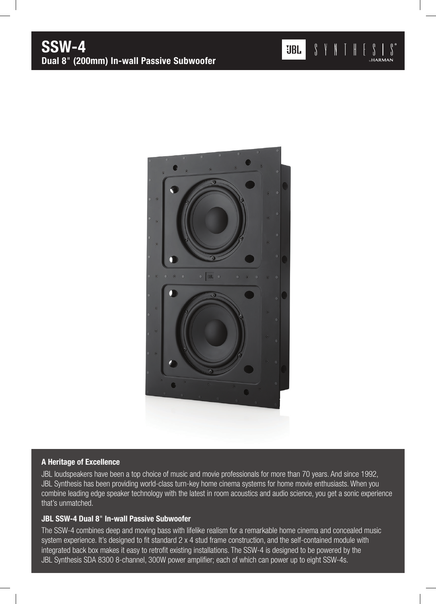

## A Heritage of Excellence

JBL loudspeakers have been a top choice of music and movie professionals for more than 70 years. And since 1992, JBL Synthesis has been providing world-class turn-key home cinema systems for home movie enthusiasts. When you combine leading edge speaker technology with the latest in room acoustics and audio science, you get a sonic experience that's unmatched.

## JBL SSW-4 Dual 8" In-wall Passive Subwoofer

The SSW-4 combines deep and moving bass with lifelike realism for a remarkable home cinema and concealed music system experience. It's designed to fit standard 2 x 4 stud frame construction, and the self-contained module with integrated back box makes it easy to retrofit existing installations. The SSW-4 is designed to be powered by the JBL Synthesis SDA 8300 8-channel, 300W power amplifier; each of which can power up to eight SSW-4s.